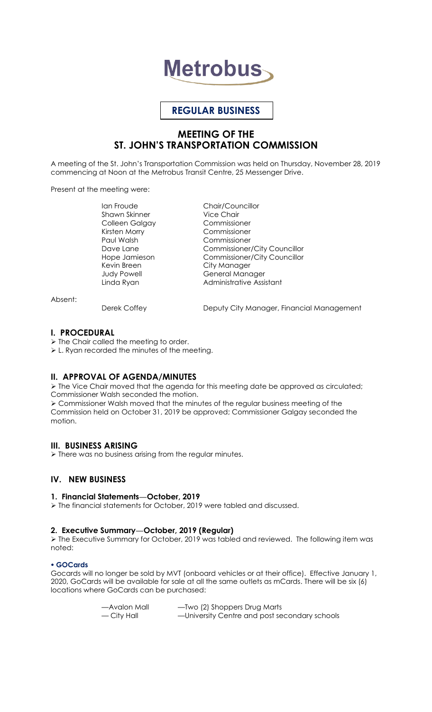# **Metrobus**

# **REGULAR BUSINESS**

# **MEETING OF THE ST. JOHN'S TRANSPORTATION COMMISSION**

A meeting of the St. John's Transportation Commission was held on Thursday, November 28, 2019 commencing at Noon at the Metrobus Transit Centre, 25 Messenger Drive.

Present at the meeting were:

Ian Froude Chair/Councillor<br>
Shawn Skinner Chair Vice Chair Shawn Skinner Colleen Galgay Commissioner Kirsten Morry Commissioner Paul Walsh Commissioner Kevin Breen City Manager

Dave Lane Commissioner/City Councillor<br>
Hope Jamieson Commissioner/City Councillor Commissioner/City Councillor Judy Powell General Manager Linda Ryan **Administrative Assistant** 

Absent:

Derek Coffey **Deputy City Manager, Financial Management** 

#### **I. PROCEDURAL**

 $\triangleright$  The Chair called the meeting to order.

L. Ryan recorded the minutes of the meeting.

## **II. APPROVAL OF AGENDA/MINUTES**

 The Vice Chair moved that the agenda for this meeting date be approved as circulated; Commissioner Walsh seconded the motion. Commissioner Walsh moved that the minutes of the regular business meeting of the

Commission held on October 31, 2019 be approved; Commissioner Galgay seconded the motion.

## **III. BUSINESS ARISING**

> There was no business arising from the regular minutes.

# **IV. NEW BUSINESS**

#### **1. Financial Statements—October, 2019**

The financial statements for October, 2019 were tabled and discussed.

#### **2. Executive Summary—October, 2019 (Regular)**

 The Executive Summary for October, 2019 was tabled and reviewed. The following item was noted:

#### **GOCards**

Gocards will no longer be sold by MVT (onboard vehicles or at their office). Effective January 1, 2020, GoCards will be available for sale at all the same outlets as mCards. There will be six (6) locations where GoCards can be purchased:

| —Avalon Mall | -Two (2) Shoppers Drug Marts                  |
|--------------|-----------------------------------------------|
| — City Hall  | -University Centre and post secondary schools |